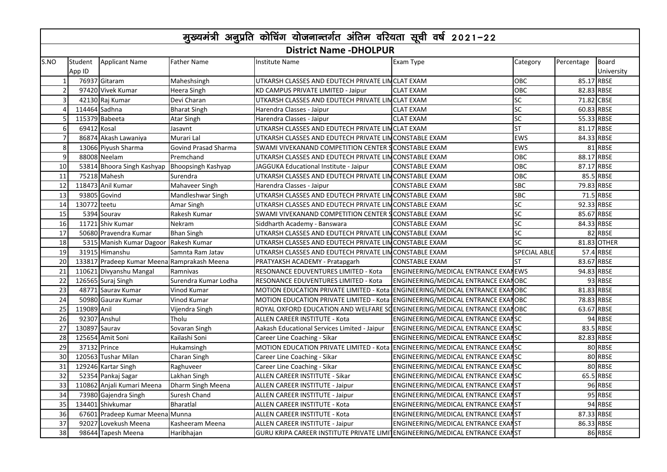| मुख्यमंत्री अनुप्रति कोचिंग योजनान्तर्गत अंतिम वरियता सूची वर्ष 2021-22 |               |                                             |                           |                                                                              |                                      |                     |            |                            |  |
|-------------------------------------------------------------------------|---------------|---------------------------------------------|---------------------------|------------------------------------------------------------------------------|--------------------------------------|---------------------|------------|----------------------------|--|
| <b>District Name - DHOLPUR</b>                                          |               |                                             |                           |                                                                              |                                      |                     |            |                            |  |
| S.NO                                                                    | App ID        | Student Applicant Name                      | <b>Father Name</b>        | <b>Institute Name</b>                                                        | Exam Type                            | Category            | Percentage | <b>Board</b><br>University |  |
| $\mathbf{1}$                                                            |               | 76937 Gitaram                               | Maheshsingh               | UTKARSH CLASSES AND EDUTECH PRIVATE LINCLAT EXAM                             |                                      | OBC                 | 85.17 RBSE |                            |  |
| $\overline{2}$                                                          |               | 97420 Vivek Kumar                           | Heera Singh               | KD CAMPUS PRIVATE LIMITED - Jaipur                                           | <b>CLAT EXAM</b>                     | OBC                 | 82.83 RBSE |                            |  |
| $\overline{3}$                                                          |               | 42130 Raj Kumar                             | Devi Charan               | UTKARSH CLASSES AND EDUTECH PRIVATE LIMCLAT EXAM                             |                                      | <b>SC</b>           | 71.82 CBSE |                            |  |
|                                                                         | 114464 Sadhna |                                             | <b>Bharat Singh</b>       | Harendra Classes - Jaipur                                                    | <b>CLAT EXAM</b>                     | <b>SC</b>           | 60.83 RBSE |                            |  |
|                                                                         |               | 115379 Babeeta                              | Atar Singh                | Harendra Classes - Jaipur                                                    | <b>CLAT EXAM</b>                     | <b>SC</b>           | 55.33 RBSE |                            |  |
| 6                                                                       | 69412 Kosal   |                                             | Jasavnt                   | UTKARSH CLASSES AND EDUTECH PRIVATE LINCLAT EXAM                             |                                      | <b>ST</b>           | 81.17 RBSE |                            |  |
| $\overline{7}$                                                          |               | 86874 Akash Lawaniya                        | Murari Lal                | UTKARSH CLASSES AND EDUTECH PRIVATE LIMCONSTABLE EXAM                        |                                      | <b>EWS</b>          | 84.33 RBSE |                            |  |
| 8                                                                       |               | 13066 Piyush Sharma                         | Govind Prasad Sharma      | SWAMI VIVEKANAND COMPETITION CENTER SCONSTABLE EXAM                          |                                      | EWS                 |            | 81 RBSE                    |  |
| $\overline{9}$                                                          |               | 88008 Neelam                                | Premchand                 | UTKARSH CLASSES AND EDUTECH PRIVATE LIMCONSTABLE EXAM                        |                                      | OBC                 | 88.17 RBSE |                            |  |
| 10                                                                      |               | 53814 Bhoora Singh Kashyap                  | <b>Bhoopsingh Kashyap</b> | JAGGUKA Educational Institute - Jaipur                                       | <b>CONSTABLE EXAM</b>                | OBC                 | 87.17 RBSE |                            |  |
| 11                                                                      |               | 75218 Mahesh                                | Surendra                  | UTKARSH CLASSES AND EDUTECH PRIVATE LIMCONSTABLE EXAM                        |                                      | OBC                 |            | 85.5 RBSE                  |  |
| 12                                                                      |               | 118473 Anil Kumar                           | Mahaveer Singh            | Harendra Classes - Jaipur                                                    | <b>CONSTABLE EXAM</b>                | <b>SBC</b>          | 79.83 RBSE |                            |  |
| 13                                                                      |               | 93805 Govind                                | Mandleshwar Singh         | UTKARSH CLASSES AND EDUTECH PRIVATE LINCONSTABLE EXAM                        |                                      | <b>SBC</b>          |            | 71.5 RBSE                  |  |
| 14                                                                      | 130772 teetu  |                                             | Amar Singh                | UTKARSH CLASSES AND EDUTECH PRIVATE LIMCONSTABLE EXAM                        |                                      | <b>SC</b>           |            | 92.33 RBSE                 |  |
| 15                                                                      |               | 5394 Sourav                                 | Rakesh Kumar              | SWAMI VIVEKANAND COMPETITION CENTER SCONSTABLE EXAM                          |                                      | SC                  | 85.67 RBSE |                            |  |
| 16                                                                      |               | 11721 Shiv Kumar                            | Nekram                    | Siddharth Academy - Banswara                                                 | <b>CONSTABLE EXAM</b>                | <b>SC</b>           | 84.33 RBSE |                            |  |
| 17                                                                      |               | 50680 Pravendra Kumar                       | <b>Bhan Singh</b>         | UTKARSH CLASSES AND EDUTECH PRIVATE LINCONSTABLE EXAM                        |                                      | <b>SC</b>           |            | 82 RBSE                    |  |
| 18                                                                      |               | 5315 Manish Kumar Dagoor Rakesh Kumar       |                           | UTKARSH CLASSES AND EDUTECH PRIVATE LIMCONSTABLE EXAM                        |                                      | <b>SC</b>           |            | 81.83 OTHER                |  |
| 19                                                                      |               | $\overline{31915}$ Himanshu                 | Samnta Ram Jatav          | UTKARSH CLASSES AND EDUTECH PRIVATE LIMCONSTABLE EXAM                        |                                      | <b>SPECIAL ABLE</b> |            | 57.4 RBSE                  |  |
| 20                                                                      |               | 133817 Pradeep Kumar Meena Ramprakash Meena |                           | PRATYAKSH ACADEMY - Pratapgarh                                               | <b>CONSTABLE EXAM</b>                | <b>ST</b>           | 83.67 RBSE |                            |  |
| 21                                                                      |               | 110621 Divyanshu Mangal                     | Ramnivas                  | RESONANCE EDUVENTURES LIMITED - Kota                                         | ENGINEERING/MEDICAL ENTRANCE EXAMEWS |                     | 94.83 RBSE |                            |  |
| 22                                                                      |               | 126565 Suraj Singh                          | Surendra Kumar Lodha      | RESONANCE EDUVENTURES LIMITED - Kota                                         | ENGINEERING/MEDICAL ENTRANCE EXANOBC |                     |            | 93 RBSE                    |  |
| 23                                                                      |               | 48771 Sauray Kumar                          | Vinod Kumar               | MOTION EDUCATION PRIVATE LIMITED - Kota ENGINEERING/MEDICAL ENTRANCE EXANOBC |                                      |                     | 81.83 RBSE |                            |  |
| 24                                                                      |               | 50980 Gaurav Kumar                          | Vinod Kumar               | MOTION EDUCATION PRIVATE LIMITED - Kota ENGINEERING/MEDICAL ENTRANCE EXANOBC |                                      |                     |            | 78.83 RBSE                 |  |
| 25                                                                      | 119089 Anil   |                                             | Vijendra Singh            | ROYAL OXFORD EDUCATION AND WELFARE SCENGINEERING/MEDICAL ENTRANCE EXANOBC    |                                      |                     | 63.67 RBSE |                            |  |
| 26                                                                      |               | 92307 Anshul                                | Tholu                     | ALLEN CAREER INSTITUTE - Kota                                                | ENGINEERING/MEDICAL ENTRANCE EXANSC  |                     |            | 94 RBSE                    |  |
| 27                                                                      | 130897 Sauray |                                             | Sovaran Singh             | Aakash Educational Services Limited - Jaipur                                 | ENGINEERING/MEDICAL ENTRANCE EXANSC  |                     |            | 83.5 RBSE                  |  |
| 28                                                                      |               | 125654 Amit Soni                            | Kailashi Soni             | Career Line Coaching - Sikar                                                 | ENGINEERING/MEDICAL ENTRANCE EXANSC  |                     |            | 82.83 RBSE                 |  |
| 29                                                                      | 37132 Prince  |                                             | Hukamsingh                | MOTION EDUCATION PRIVATE LIMITED - Kota ENGINEERING/MEDICAL ENTRANCE EXANSC  |                                      |                     |            | 80 RBSE                    |  |
| 30                                                                      |               | 120563 Tushar Milan                         | Charan Singh              | Career Line Coaching - Sikar                                                 | ENGINEERING/MEDICAL ENTRANCE EXANSC  |                     |            | 80 RBSE                    |  |
| 31                                                                      |               | 129246 Kartar Singh                         | Raghuveer                 | Career Line Coaching - Sikar                                                 | ENGINEERING/MEDICAL ENTRANCE EXANSC  |                     |            | 80 RBSE                    |  |
| 32                                                                      |               | 52354 Pankaj Sagar                          | Lakhan Singh              | ALLEN CAREER INSTITUTE - Sikar                                               | ENGINEERING/MEDICAL ENTRANCE EXANSC  |                     |            | 65.5 RBSE                  |  |
| 33                                                                      |               | 110862 Anjali Kumari Meena                  | Dharm Singh Meena         | <b>ALLEN CAREER INSTITUTE - Jaipur</b>                                       | ENGINEERING/MEDICAL ENTRANCE EXANST  |                     |            | 96 RBSE                    |  |
| $\overline{34}$                                                         |               | 73980 Gajendra Singh                        | Suresh Chand              | <b>ALLEN CAREER INSTITUTE - Jaipur</b>                                       | ENGINEERING/MEDICAL ENTRANCE EXANST  |                     |            | 95 RBSE                    |  |
| 35                                                                      |               | 134401 Shivkumar                            | <b>Bharatlal</b>          | ALLEN CAREER INSTITUTE - Kota                                                | ENGINEERING/MEDICAL ENTRANCE EXANST  |                     |            | 94 RBSE                    |  |
| 36                                                                      |               | 67601 Pradeep Kumar Meena Munna             |                           | ALLEN CAREER INSTITUTE - Kota                                                | ENGINEERING/MEDICAL ENTRANCE EXANST  |                     | 87.33 RBSE |                            |  |
| 37                                                                      |               | 92027 Lovekush Meena                        | Kasheeram Meena           | ALLEN CAREER INSTITUTE - Jaipur                                              | ENGINEERING/MEDICAL ENTRANCE EXANST  |                     | 86.33 RBSE |                            |  |
| 38                                                                      |               | 98644 Tapesh Meena                          | Haribhajan                | GURU KRIPA CAREER INSTITUTE PRIVATE LIMI ENGINEERING/MEDICAL ENTRANCE EXANST |                                      |                     |            | 86 RBSE                    |  |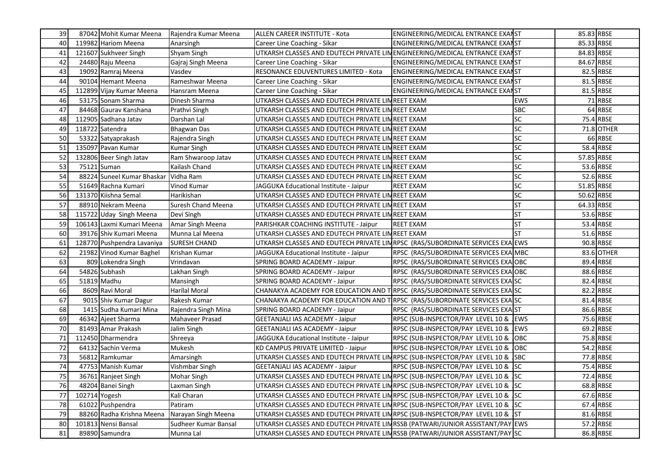| 39              |               | 87042 Mohit Kumar Meena              | Rajendra Kumar Meena | ALLEN CAREER INSTITUTE - Kota                                                 | ENGINEERING/MEDICAL ENTRANCE EXANST     |             | 85.83 RBSE |
|-----------------|---------------|--------------------------------------|----------------------|-------------------------------------------------------------------------------|-----------------------------------------|-------------|------------|
| 40              |               | 119982 Hariom Meena                  | Anarsingh            | Career Line Coaching - Sikar                                                  | ENGINEERING/MEDICAL ENTRANCE EXANST     |             | 85.33 RBSE |
| 41              |               | 121607 Sukhveer Singh                | Shyam Singh          | UTKARSH CLASSES AND EDUTECH PRIVATE LINENGINEERING/MEDICAL ENTRANCE EXANST    |                                         |             | 84.83 RBSE |
| 42              |               | 24480 Raju Meena                     | Gajraj Singh Meena   | Career Line Coaching - Sikar                                                  | ENGINEERING/MEDICAL ENTRANCE EXANST     |             | 84.67 RBSE |
| 43              |               | 19092 Ramraj Meena                   | Vasdev               | RESONANCE EDUVENTURES LIMITED - Kota                                          | ENGINEERING/MEDICAL ENTRANCE EXANST     |             | 82.5 RBSE  |
| 44              |               | 90104 Hemant Meena                   | Rameshwar Meena      | Career Line Coaching - Sikar                                                  | ENGINEERING/MEDICAL ENTRANCE EXANST     |             | 81.5 RBSE  |
| 45              |               | 112899 Vijay Kumar Meena             | Hansram Meena        | Career Line Coaching - Sikar                                                  | ENGINEERING/MEDICAL ENTRANCE EXANST     |             | 81.5 RBSE  |
| 46              |               | 53175 Sonam Sharma                   | Dinesh Sharma        | UTKARSH CLASSES AND EDUTECH PRIVATE LIN REET EXAM                             |                                         | <b>EWS</b>  | 71 RBSE    |
| 47              |               | 84468 Gauray Kanshana                | Prathvi Singh        | UTKARSH CLASSES AND EDUTECH PRIVATE LINREET EXAM                              |                                         | SBC         | 64 RBSE    |
| 48              |               | 112905 Sadhana Jatav                 | Darshan Lal          | UTKARSH CLASSES AND EDUTECH PRIVATE LIMREET EXAM                              |                                         | <b>SC</b>   | 75.4 RBSE  |
| 49              |               | 118722 Satendra                      | <b>Bhagwan Das</b>   | UTKARSH CLASSES AND EDUTECH PRIVATE LIMREET EXAM                              |                                         | SC          | 71.8 OTHER |
| 50              |               | 53322 Satyaprakash                   | Rajendra Singh       | UTKARSH CLASSES AND EDUTECH PRIVATE LIM REET EXAM                             |                                         | SC          | 66 RBSE    |
| 51              |               | 135097 Pavan Kumar                   | Kumar Singh          | UTKARSH CLASSES AND EDUTECH PRIVATE LIN REET EXAM                             |                                         | <b>SC</b>   | 58.4 RBSE  |
| 52              |               | 132806 Beer Singh Jatav              | Ram Shwaroop Jatav   | UTKARSH CLASSES AND EDUTECH PRIVATE LIMREET EXAM                              |                                         | <b>SC</b>   | 57.85 RBSE |
| 53              |               | 75121 Suman                          | Kailash Chand        | UTKARSH CLASSES AND EDUTECH PRIVATE LIMREET EXAM                              |                                         | <b>SC</b>   | 53.6 RBSE  |
| 54              |               | 88224 Suneel Kumar Bhaskar Vidha Ram |                      | UTKARSH CLASSES AND EDUTECH PRIVATE LIMREET EXAM                              |                                         | SC          | 52.6 RBSE  |
| 55              |               | 51649 Rachna Kumari                  | Vinod Kumar          | JAGGUKA Educational Institute - Jaipur                                        | <b>REET EXAM</b>                        | SC          | 51.85 RBSE |
| 56              |               | 131370 Kiishna Semal                 | Harikishan           | UTKARSH CLASSES AND EDUTECH PRIVATE LIMREET EXAM                              |                                         | <b>SC</b>   | 50.62 RBSE |
| 57              |               | 88910 Nekram Meena                   | Suresh Chand Meena   | UTKARSH CLASSES AND EDUTECH PRIVATE LIMREET EXAM                              |                                         | <b>ST</b>   | 64.33 RBSE |
| 58              |               | 115722 Uday Singh Meena              | Devi Singh           | UTKARSH CLASSES AND EDUTECH PRIVATE LIN REET EXAM                             |                                         | <b>ST</b>   | 53.6 RBSE  |
| 59              |               | 106143 Laxmi Kumari Meena            | Amar Singh Meena     | PARISHKAR COACHING INSTITUTE - Jaipur                                         | <b>REET EXAM</b>                        | <b>ST</b>   | 53.4 RBSE  |
| 60              |               | 39176 Shiv Kumari Meena              | Munna Lal Meena      | UTKARSH CLASSES AND EDUTECH PRIVATE LIMREET EXAM                              |                                         | <b>ST</b>   | 51.6 RBSE  |
| 61              |               | 128770 Pushpendra Lavaniya           | <b>SURESH CHAND</b>  | UTKARSH CLASSES AND EDUTECH PRIVATE LINRPSC (RAS/SUBORDINATE SERVICES EXA EWS |                                         |             | 90.8 RBSE  |
| 62              |               | 21982 Vinod Kumar Baghel             | Krishan Kumar        | JAGGUKA Educational Institute - Jaipur                                        | RPSC (RAS/SUBORDINATE SERVICES EXA MBC  |             | 83.6 OTHER |
| 63              |               | 809 Lokendra Singh                   | Vrindavan            | SPRING BOARD ACADEMY - Jaipur                                                 | RPSC (RAS/SUBORDINATE SERVICES EXA OBC  |             | 89.4 RBSE  |
| 64              |               | 54826 Subhash                        | Lakhan Singh         | SPRING BOARD ACADEMY - Jaipur                                                 | RPSC (RAS/SUBORDINATE SERVICES EXA OBC  |             | 88.6 RBSE  |
| 65              |               | 51819 Madhu                          | Mansingh             | SPRING BOARD ACADEMY - Jaipur                                                 | RPSC (RAS/SUBORDINATE SERVICES EXA SC   |             | 82.4 RBSE  |
| 66              |               | 8609 Ravi Moral                      | Harilal Moral        | CHANAKYA ACADEMY FOR EDUCATION AND TRPSC (RAS/SUBORDINATE SERVICES EXASSC     |                                         |             | 82.2 RBSE  |
| 67              |               | 9015 Shiv Kumar Dagur                | Rakesh Kumar         | CHANAKYA ACADEMY FOR EDUCATION AND TRPSC (RAS/SUBORDINATE SERVICES EXASSC     |                                         |             | 81.4 RBSE  |
| 68              |               | 1415 Sudha Kumari Mina               | Rajendra Singh Mina  | SPRING BOARD ACADEMY - Jaipur                                                 | RPSC (RAS/SUBORDINATE SERVICES EXAIST   |             | 86.6 RBSE  |
| 69              |               | 46342 Ajeet Sharma                   | Mahaveer Prasad      | <b>GEETANJALI IAS ACADEMY - Jaipur</b>                                        | RPSC (SUB-INSPECTOR/PAY LEVEL 10 & EWS  |             | 75.6 RBSE  |
| 70              |               | 81493 Amar Prakash                   | Jalim Singh          | <b>GEETANJALI IAS ACADEMY - Jaipur</b>                                        | RPSC (SUB-INSPECTOR/PAY LEVEL 10 &      | <b>JEWS</b> | 69.2 RBSE  |
| 71              |               | 112450 Dharmendra                    | Shreeya              | JAGGUKA Educational Institute - Jaipur                                        | RPSC (SUB-INSPECTOR/PAY LEVEL 10 &      | <b>JOBC</b> | 75.8 RBSE  |
| 72              |               | 64132 Sachin Verma                   | Mukesh               | KD CAMPUS PRIVATE LIMITED - Jaipur                                            | RPSC (SUB-INSPECTOR/PAY LEVEL 10 & JOBC |             | 54.2 RBSE  |
| $\overline{73}$ |               | 56812 Ramkumar                       | Amarsingh            | UTKARSH CLASSES AND EDUTECH PRIVATE LINRPSC (SUB-INSPECTOR/PAY LEVEL 10 & SBC |                                         |             | 77.8 RBSE  |
| 74              |               | 47753 Manish Kumar                   | Vishmbar Singh       | <b>GEETANJALI IAS ACADEMY - Jaipur</b>                                        | RPSC (SUB-INSPECTOR/PAY LEVEL 10 & SC   |             | 75.4 RBSE  |
| 75              |               | 36761 Ranjeet Singh                  | Mohar Singh          | UTKARSH CLASSES AND EDUTECH PRIVATE LIMRPSC (SUB-INSPECTOR/PAY LEVEL 10 & SC  |                                         |             | 72.4 RBSE  |
| 76              |               | 48204 Banei Singh                    | Laxman Singh         | UTKARSH CLASSES AND EDUTECH PRIVATE LIMRPSC (SUB-INSPECTOR/PAY LEVEL 10 & SC  |                                         |             | 68.8 RBSE  |
| 77              | 102714 Yogesh |                                      | Kali Charan          | UTKARSH CLASSES AND EDUTECH PRIVATE LINRPSC (SUB-INSPECTOR/PAY LEVEL 10 & SC  |                                         |             | 67.6 RBSE  |
| 78              |               | 61022 Pushpendra                     | Patiram              | UTKARSH CLASSES AND EDUTECH PRIVATE LINRPSC (SUB-INSPECTOR/PAY LEVEL 10 & SC  |                                         |             | 67.4 RBSE  |
| 79              |               | 88260 Radha Krishna Meena            | Narayan Singh Meena  | UTKARSH CLASSES AND EDUTECH PRIVATE LIMRPSC (SUB-INSPECTOR/PAY LEVEL 10 &     |                                         | Ist         | 81.6 RBSE  |
| 80              |               | 101813 Nensi Bansal                  | Sudheer Kumar Bansal | UTKARSH CLASSES AND EDUTECH PRIVATE LINRSSB (PATWARI/JUNIOR ASSISTANT/PAY EWS |                                         |             | 57.2 RBSE  |
| 81              |               | 89890 Samundra                       | Munna Lal            | UTKARSH CLASSES AND EDUTECH PRIVATE LINRSSB (PATWARI/JUNIOR ASSISTANT/PAY SC  |                                         |             | 86.8 RBSE  |